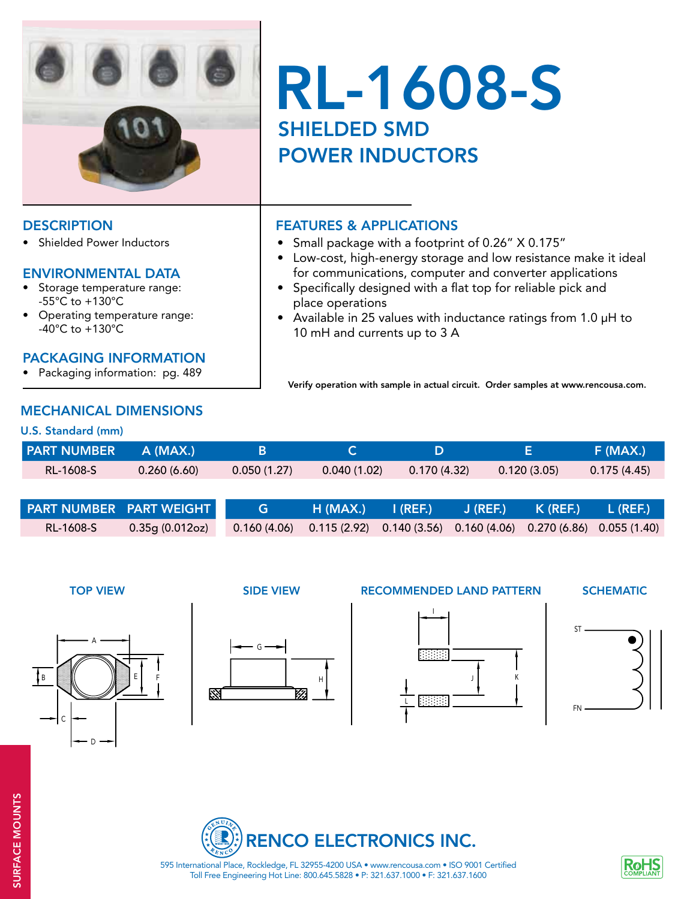

# RL-1608-S SHIELDED SMD POWER INDUCTORS

Small package with a footprint of 0.26" X 0.175"

• Low-cost, high-energy storage and low resistance make it ideal for communications, computer and converter applications • Specifically designed with a flat top for reliable pick and

• Available in 25 values with inductance ratings from 1.0  $\mu$ H to

Verify operation with sample in actual circuit. Order samples at www.rencousa.com.

#### DESCRIPTION **FEATURES & APPLICATIONS**

• Shielded Power Inductors

#### ENVIRONMENTAL DATA

- Storage temperature range: -55°C to +130°C
- Operating temperature range: -40°C to +130°C

#### PACKAGING INFORMATION

• Packaging information: pg. 489

### MECHANICAL DIMENSIONS

#### U.S. Standard (mm)

| <b>PART NUMBER A (MAX.)</b> |             |             |             |             |             | F (MAX.)    |
|-----------------------------|-------------|-------------|-------------|-------------|-------------|-------------|
| RL-1608-S                   | 0.260(6.60) | 0.050(1.27) | 0.040(1.02) | 0.170(4.32) | 0.120(3.05) | 0.175(4.45) |
|                             |             |             |             |             |             |             |

 place operations

 10 mH and currents up to 3 A

| <b>PART NUMBER PART WEIGHT</b> |                 | G | H (MAX.)       I (REF.)         J (REF.)         K (REF.)       L (REF.)            |  |  |
|--------------------------------|-----------------|---|-------------------------------------------------------------------------------------|--|--|
| RL-1608-S                      | 0.35g (0.012oz) |   | $0.160(4.06)$ $0.115(2.92)$ $0.140(3.56)$ $0.160(4.06)$ $0.270(6.86)$ $0.055(1.40)$ |  |  |





#### TOP VIEW SIDE VIEW RECOMMENDED LAND PATTERN

**SCHEMATIC**